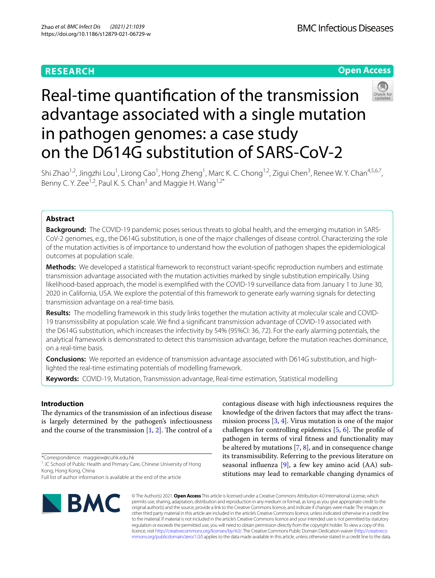# **RESEARCH**

# **Open Access**



# Real-time quantifcation of the transmission advantage associated with a single mutation in pathogen genomes: a case study on the D614G substitution of SARS-CoV-2

Shi Zhao<sup>1,2</sup>, Jingzhi Lou<sup>1</sup>, Lirong Cao<sup>1</sup>, Hong Zheng<sup>1</sup>, Marc K. C. Chong<sup>1,2</sup>, Zigui Chen<sup>3</sup>, Renee W. Y. Chan<sup>4,5,6,7</sup>, Benny C. Y. Zee<sup>1,2</sup>, Paul K. S. Chan<sup>3</sup> and Maggie H. Wang<sup>1,2\*</sup>

# **Abstract**

**Background:** The COVID-19 pandemic poses serious threats to global health, and the emerging mutation in SARS-CoV-2 genomes, e.g., the D614G substitution, is one of the major challenges of disease control. Characterizing the role of the mutation activities is of importance to understand how the evolution of pathogen shapes the epidemiological outcomes at population scale.

**Methods:** We developed a statistical framework to reconstruct variant-specifc reproduction numbers and estimate transmission advantage associated with the mutation activities marked by single substitution empirically. Using likelihood-based approach, the model is exemplifed with the COVID-19 surveillance data from January 1 to June 30, 2020 in California, USA. We explore the potential of this framework to generate early warning signals for detecting transmission advantage on a real-time basis.

**Results:** The modelling framework in this study links together the mutation activity at molecular scale and COVID-19 transmissibility at population scale. We fnd a signifcant transmission advantage of COVID-19 associated with the D614G substitution, which increases the infectivity by 54% (95%CI: 36, 72). For the early alarming potentials, the analytical framework is demonstrated to detect this transmission advantage, before the mutation reaches dominance, on a real-time basis.

**Conclusions:** We reported an evidence of transmission advantage associated with D614G substitution, and highlighted the real-time estimating potentials of modelling framework.

**Keywords:** COVID-19, Mutation, Transmission advantage, Real-time estimation, Statistical modelling

# **Introduction**

The dynamics of the transmission of an infectious disease is largely determined by the pathogen's infectiousness and the course of the transmission  $[1, 2]$  $[1, 2]$  $[1, 2]$ . The control of a

\*Correspondence: maggiew@cuhk.edu.hk

<sup>1</sup> JC School of Public Health and Primary Care, Chinese University of Hong Kong, Hong Kong, China

Full list of author information is available at the end of the article



contagious disease with high infectiousness requires the knowledge of the driven factors that may afect the transmission process  $[3, 4]$  $[3, 4]$  $[3, 4]$ . Virus mutation is one of the major challenges for controlling epidemics  $[5, 6]$  $[5, 6]$  $[5, 6]$  $[5, 6]$ . The profile of pathogen in terms of viral ftness and functionality may be altered by mutations [[7](#page-6-4), [8\]](#page-6-5), and in consequence change its transmissibility. Referring to the previous literature on seasonal influenza  $[9]$  $[9]$ , a few key amino acid  $(AA)$  substitutions may lead to remarkable changing dynamics of

© The Author(s) 2021. **Open Access** This article is licensed under a Creative Commons Attribution 4.0 International License, which permits use, sharing, adaptation, distribution and reproduction in any medium or format, as long as you give appropriate credit to the original author(s) and the source, provide a link to the Creative Commons licence, and indicate if changes were made. The images or other third party material in this article are included in the article's Creative Commons licence, unless indicated otherwise in a credit line to the material. If material is not included in the article's Creative Commons licence and your intended use is not permitted by statutory regulation or exceeds the permitted use, you will need to obtain permission directly from the copyright holder. To view a copy of this licence, visit [http://creativecommons.org/licenses/by/4.0/.](http://creativecommons.org/licenses/by/4.0/) The Creative Commons Public Domain Dedication waiver ([http://creativeco](http://creativecommons.org/publicdomain/zero/1.0/) [mmons.org/publicdomain/zero/1.0/](http://creativecommons.org/publicdomain/zero/1.0/)) applies to the data made available in this article, unless otherwise stated in a credit line to the data.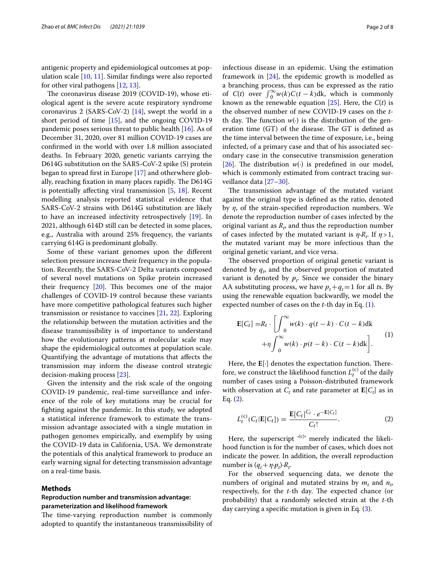antigenic property and epidemiological outcomes at population scale [[10,](#page-6-7) [11](#page-6-8)]. Similar fndings were also reported for other viral pathogens [[12,](#page-6-9) [13\]](#page-6-10).

The coronavirus disease 2019 (COVID-19), whose etiological agent is the severe acute respiratory syndrome coronavirus 2 (SARS-CoV-2) [[14\]](#page-6-11), swept the world in a short period of time [[15](#page-6-12)], and the ongoing COVID-19 pandemic poses serious threat to public health [[16\]](#page-6-13). As of December 31, 2020, over 81 million COVID-19 cases are confrmed in the world with over 1.8 million associated deaths. In February 2020, genetic variants carrying the D614G substitution on the SARS-CoV-2 spike (S) protein began to spread frst in Europe [\[17\]](#page-6-14) and otherwhere globally, reaching fixation in many places rapidly. The D614G is potentially afecting viral transmission [\[5,](#page-6-2) [18\]](#page-6-15). Recent modelling analysis reported statistical evidence that SARS-CoV-2 strains with D614G substitution are likely to have an increased infectivity retrospectively [\[19](#page-6-16)]. In 2021, although 614D still can be detected in some places, e.g., Australia with around 25% frequency, the variants carrying 614G is predominant globally.

Some of these variant genomes upon the diferent selection pressure increase their frequency in the population. Recently, the SARS-CoV-2 Delta variants composed of several novel mutations on Spike protein increased their frequency  $[20]$  $[20]$  $[20]$ . This becomes one of the major challenges of COVID-19 control because these variants have more competitive pathological features such higher transmission or resistance to vaccines [[21,](#page-6-18) [22](#page-6-19)]. Exploring the relationship between the mutation activities and the disease transmissibility is of importance to understand how the evolutionary patterns at molecular scale may shape the epidemiological outcomes at population scale. Quantifying the advantage of mutations that afects the transmission may inform the disease control strategic decision-making process [\[23](#page-6-20)].

Given the intensity and the risk scale of the ongoing COVID-19 pandemic, real-time surveillance and inference of the role of key mutations may be crucial for fghting against the pandemic. In this study, we adopted a statistical inference framework to estimate the transmission advantage associated with a single mutation in pathogen genomes empirically, and exemplify by using the COVID-19 data in California, USA. We demonstrate the potentials of this analytical framework to produce an early warning signal for detecting transmission advantage on a real-time basis.

#### **Methods**

# **Reproduction number and transmission advantage: parameterization and likelihood framework**

The time-varying reproduction number is commonly adopted to quantify the instantaneous transmissibility of infectious disease in an epidemic. Using the estimation framework in [\[24](#page-6-21)], the epidemic growth is modelled as a branching process, thus can be expressed as the ratio of  $C(t)$  over  $\int_0^\infty w(k)C(t-k)dk$ , which is commonly known as the renewable equation  $[25]$  $[25]$ . Here, the  $C(t)$  is the observed number of new COVID-19 cases on the *t*th day. The function  $w(·)$  is the distribution of the generation time  $(T)$  of the disease. The GT is defined as the time interval between the time of exposure, i.e., being infected, of a primary case and that of his associated secondary case in the consecutive transmission generation [[26\]](#page-6-23). The distribution *w*(⋅) is predefined in our model, which is commonly estimated from contract tracing surveillance data [[27](#page-6-24)[–30](#page-6-25)].

The transmission advantage of the mutated variant against the original type is defned as the ratio, denoted by *η*, of the strain-specifed reproduction numbers. We denote the reproduction number of cases infected by the original variant as  $R_p$  and thus the reproduction number of cases infected by the mutated variant is  $\eta \cdot R_t$ . If  $\eta > 1$ , the mutated variant may be more infectious than the original genetic variant, and vice versa.

The observed proportion of original genetic variant is denoted by  $q_t$ , and the observed proportion of mutated variant is denoted by  $p_t$ . Since we consider the binary AA substituting process, we have  $p_t + q_t = 1$  for all *t*s. By using the renewable equation backwardly, we model the expected number of cases on the *t*-th day in Eq. ([1\)](#page-1-0).

<span id="page-1-0"></span>
$$
\mathbf{E}[C_t] = R_t \cdot \left[ \int_0^\infty w(k) \cdot q(t-k) \cdot C(t-k) dk + \eta \int_0^\infty w(k) \cdot p(t-k) \cdot C(t-k) dk \right].
$$
 (1)

Here, the **E**[⋅] denotes the expectation function. Therefore, we construct the likelihood function  $L_t^{(c)}$  of the daily number of cases using a Poisson-distributed framework with observation at  $C_t$  and rate parameter at  $\mathbf{E}[C_t]$  as in Eq. [\(2](#page-1-1)).

<span id="page-1-1"></span>
$$
L_t^{(c)}(C_t | \mathbf{E}[C_t]) = \frac{\mathbf{E}[C_t]^{C_t} \cdot e^{-\mathbf{E}[C_t]}}{C_t!}.
$$
 (2)

Here, the superscript  $(2)$ <sup>t</sup> merely indicated the likelihood function is for the number of cases, which does not indicate the power. In addition, the overall reproduction number is  $(q_t + \eta \cdot p_t) \cdot R_t$ .

For the observed sequencing data, we denote the numbers of original and mutated strains by  $m_t$  and  $n_t$ , respectively, for the *t*-th day. The expected chance (or probability) that a randomly selected strain at the *t*-th day carrying a specifc mutation is given in Eq. [\(3](#page-2-0)).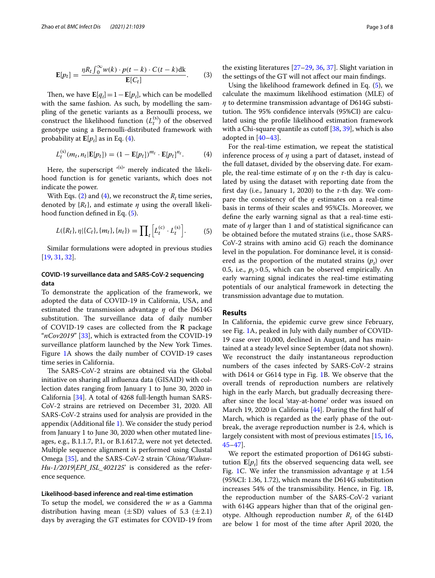$$
\mathbf{E}[p_t] = \frac{\eta R_t \int_0^\infty w(k) \cdot p(t-k) \cdot C(t-k) \, \mathrm{d}k}{\mathbf{E}[C_t]}.\tag{3}
$$

Then, we have  $\mathbf{E}[q_t] = 1 - \mathbf{E}[p_t]$ , which can be modelled with the same fashion. As such, by modelling the sampling of the genetic variants as a Bernoulli process, we construct the likelihood function  $(L_t^{(s)})$  of the observed genotype using a Bernoulli-distributed framework with probability at  $\mathbf{E}[p_t]$  as in Eq. ([4\)](#page-2-1).

$$
L_t^{(s)}(m_t, n_t | \mathbf{E}[p_t]) = (1 - \mathbf{E}[p_t])^{m_t} \cdot \mathbf{E}[p_t]^{n_t}.
$$
 (4)

Here, the superscript  $(sl)^{s}$  merely indicated the likelihood function is for genetic variants, which does not indicate the power.

With Eqs. [\(2](#page-1-1)) and ([4\)](#page-2-1), we reconstruct the  $R_t$  time series, denoted by  $\{R_t\}$ , and estimate  $\eta$  using the overall likelihood function defned in Eq. ([5\)](#page-1-1).

$$
L({R_t}, \eta | {C_t}, {m_t}, {n_t}) = \prod_t \left[ L_t^{(c)} \cdot L_t^{(s)} \right].
$$
 (5)

Similar formulations were adopted in previous studies [[19,](#page-6-16) [31](#page-6-26), [32](#page-6-27)].

# **COVID‑19 surveillance data and SARS‑CoV‑2 sequencing data**

To demonstrate the application of the framework, we adopted the data of COVID-19 in California, USA, and estimated the transmission advantage *η* of the D614G substitution. The surveillance data of daily number of COVID-19 cases are collected from the **R** package "*nCov2019*" [[33\]](#page-6-28), which is extracted from the COVID-19 surveillance platform launched by the New York Times. Figure [1](#page-3-0)A shows the daily number of COVID-19 cases time series in California.

The SARS-CoV-2 strains are obtained via the Global initiative on sharing all infuenza data (GISAID) with collection dates ranging from January 1 to June 30, 2020 in California [\[34](#page-6-29)]. A total of 4268 full-length human SARS-CoV-2 strains are retrieved on December 31, 2020. All SARS-CoV-2 strains used for analysis are provided in the appendix (Additional fle [1](#page-5-2)). We consider the study period from January 1 to June 30, 2020 when other mutated lineages, e.g., B.1.1.7, P.1, or B.1.617.2, were not yet detected. Multiple sequence alignment is performed using Clustal Omega [\[35](#page-6-30)], and the SARS-CoV-2 strain '*China/Wuhan-Hu-1/2019|EPI\_ISL\_402125*' is considered as the reference sequence.

## **Likelihood‑based inference and real‑time estimation**

To setup the model, we considered the *w* as a Gamma distribution having mean ( $\pm$ SD) values of 5.3 ( $\pm$ 2.1) days by averaging the GT estimates for COVID-19 from <span id="page-2-0"></span>the existing literatures [\[27–](#page-6-24)[29,](#page-6-31) [36](#page-6-32), [37](#page-6-33)]. Slight variation in the settings of the GT will not afect our main fndings.

Using the likelihood framework defned in Eq. [\(5](#page-1-1)), we calculate the maximum likelihood estimation (MLE) of *η* to determine transmission advantage of D614G substitution. The 95% confidence intervals (95%CI) are calculated using the profle likelihood estimation framework with a Chi-square quantile as cutoff  $[38, 39]$  $[38, 39]$  $[38, 39]$ , which is also adopted in  $[40-43]$  $[40-43]$  $[40-43]$ .

<span id="page-2-1"></span>For the real-time estimation, we repeat the statistical inference process of *η* using a part of dataset, instead of the full dataset, divided by the observing date. For example, the real-time estimate of *η* on the *τ*-th day is calculated by using the dataset with reporting date from the frst day (i.e., January 1, 2020) to the *τ*-th day. We compare the consistency of the *η* estimates on a real-time basis in terms of their scales and 95%CIs. Moreover, we defne the early warning signal as that a real-time estimate of *η* larger than 1 and of statistical signifcance can be obtained before the mutated strains (i.e., those SARS-CoV-2 strains with amino acid G) reach the dominance level in the population. For dominance level, it is considered as the proportion of the mutated strains  $(p_t)$  over 0.5, i.e.,  $p_t > 0.5$ , which can be observed empirically. An early warning signal indicates the real-time estimating potentials of our analytical framework in detecting the transmission advantage due to mutation.

#### **Results**

In California, the epidemic curve grew since February, see Fig. [1](#page-3-0)A, peaked in July with daily number of COVID-19 case over 10,000, declined in August, and has maintained at a steady level since September (data not shown). We reconstruct the daily instantaneous reproduction numbers of the cases infected by SARS-CoV-2 strains with D614 or G614 type in Fig. [1](#page-3-0)B. We observe that the overall trends of reproduction numbers are relatively high in the early March, but gradually decreasing thereafter since the local 'stay-at-home' order was issued on March 19, 2020 in California [[44](#page-6-38)]. During the frst half of March, which is regarded as the early phase of the outbreak, the average reproduction number is 2.4, which is largely consistent with most of previous estimates [\[15](#page-6-12), [16](#page-6-13), [45](#page-6-39)[–47](#page-7-0)].

We report the estimated proportion of D614G substitution  $\mathbf{E}[p_t]$  fits the observed sequencing data well, see Fig. [1](#page-3-0)C. We infer the transmission advantage *η* at 1.54 (95%CI: 1.36, 1.72), which means the D614G substitution increases 54% of the transmissibility. Hence, in Fig. [1](#page-3-0)B, the reproduction number of the SARS-CoV-2 variant with 614G appears higher than that of the original genotype. Although reproduction number  $R_t$  of the 614D are below 1 for most of the time after April 2020, the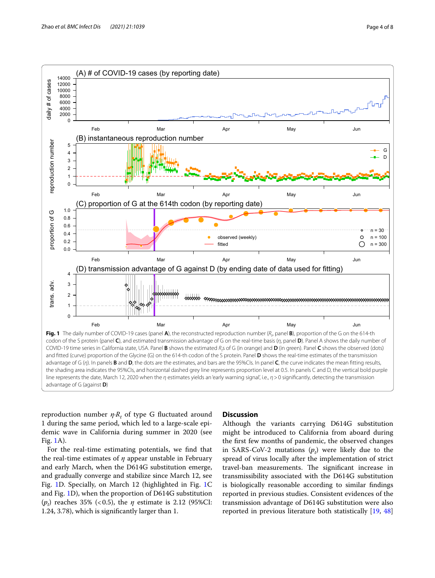

<span id="page-3-0"></span> $reproduction$  number  $\eta \cdot R_t$  of type G fluctuated around 1 during the same period, which led to a large-scale epidemic wave in California during summer in 2020 (see Fig. [1A](#page-3-0)).

For the real-time estimating potentials, we fnd that the real-time estimates of *η* appear unstable in February and early March, when the D614G substitution emerge, and gradually converge and stabilize since March 12, see Fig. [1](#page-3-0)D. Specially, on March 12 (highlighted in Fig. [1C](#page-3-0) and Fig. [1D](#page-3-0)), when the proportion of D614G substitution  $(p_t)$  reaches 35% (<0.5), the  $\eta$  estimate is 2.12 (95%CI: 1.24, 3.78), which is signifcantly larger than 1.

## **Discussion**

Although the variants carrying D614G substitution might be introduced to California from aboard during the frst few months of pandemic, the observed changes in SARS-CoV-2 mutations  $(p_t)$  were likely due to the spread of virus locally after the implementation of strict travel-ban measurements. The significant increase in transmissibility associated with the D614G substitution is biologically reasonable according to similar fndings reported in previous studies. Consistent evidences of the transmission advantage of D614G substitution were also reported in previous literature both statistically [\[19,](#page-6-16) [48](#page-7-1)]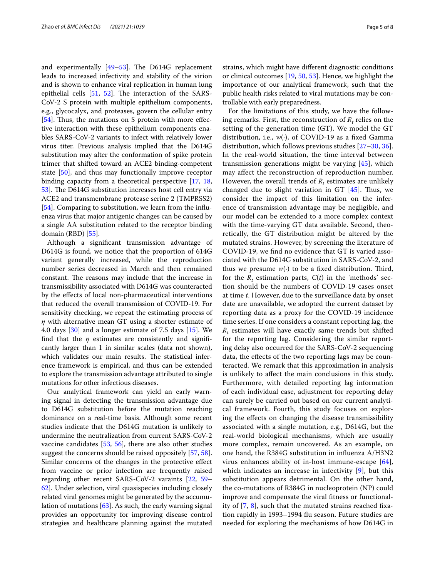and experimentally  $[49-53]$  $[49-53]$ . The D614G replacement leads to increased infectivity and stability of the virion and is shown to enhance viral replication in human lung epithelial cells  $[51, 52]$  $[51, 52]$  $[51, 52]$ . The interaction of the SARS-CoV-2 S protein with multiple epithelium components, e.g., glycocalyx, and proteases, govern the cellular entry  $[54]$  $[54]$ . Thus, the mutations on S protein with more effective interaction with these epithelium components enables SARS-CoV-2 variants to infect with relatively lower virus titer. Previous analysis implied that the D614G substitution may alter the conformation of spike protein trimer that shifted toward an ACE2 binding-competent state [\[50](#page-7-7)], and thus may functionally improve receptor binding capacity from a theoretical perspective [[17](#page-6-14), [18](#page-6-15), [53\]](#page-7-3). The D614G substitution increases host cell entry via ACE2 and transmembrane protease serine 2 (TMPRSS2) [[54\]](#page-7-6). Comparing to substitution, we learn from the infuenza virus that major antigenic changes can be caused by a single AA substitution related to the receptor binding domain (RBD) [\[55](#page-7-8)].

Although a signifcant transmission advantage of D614G is found, we notice that the proportion of 614G variant generally increased, while the reproduction number series decreased in March and then remained constant. The reasons may include that the increase in transmissibility associated with D614G was counteracted by the efects of local non-pharmaceutical interventions that reduced the overall transmission of COVID-19. For sensitivity checking, we repeat the estimating process of *η* with alternative mean GT using a shorter estimate of 4.0 days [[30\]](#page-6-25) and a longer estimate of 7.5 days [\[15](#page-6-12)]. We find that the  $\eta$  estimates are consistently and significantly larger than 1 in similar scales (data not shown), which validates our main results. The statistical inference framework is empirical, and thus can be extended to explore the transmission advantage attributed to single mutations for other infectious diseases.

Our analytical framework can yield an early warning signal in detecting the transmission advantage due to D614G substitution before the mutation reaching dominance on a real-time basis. Although some recent studies indicate that the D614G mutation is unlikely to undermine the neutralization from current SARS-CoV-2 vaccine candidates [\[53](#page-7-3), [56\]](#page-7-9), there are also other studies suggest the concerns should be raised oppositely [[57,](#page-7-10) [58](#page-7-11)]. Similar concerns of the changes in the protective efect from vaccine or prior infection are frequently raised regarding other recent SARS-CoV-2 varaints [[22,](#page-6-19) [59–](#page-7-12) [62\]](#page-7-13). Under selection, viral quasispecies including closely related viral genomes might be generated by the accumulation of mutations [[63](#page-7-14)]. As such, the early warning signal provides an opportunity for improving disease control strategies and healthcare planning against the mutated strains, which might have diferent diagnostic conditions or clinical outcomes [[19,](#page-6-16) [50](#page-7-7), [53\]](#page-7-3). Hence, we highlight the importance of our analytical framework, such that the public health risks related to viral mutations may be controllable with early preparedness.

For the limitations of this study, we have the following remarks. First, the reconstruction of  $R_t$  relies on the setting of the generation time (GT). We model the GT distribution, i.e., *w*(∙), of COVID-19 as a fxed Gamma distribution, which follows previous studies [\[27](#page-6-24)[–30](#page-6-25), [36](#page-6-32)]. In the real-world situation, the time interval between transmission generations might be varying [\[45](#page-6-39)], which may afect the reconstruction of reproduction number. However, the overall trends of  $R_t$  estimates are unlikely changed due to slight variation in GT  $[45]$  $[45]$ . Thus, we consider the impact of this limitation on the inference of transmission advantage may be negligible, and our model can be extended to a more complex context with the time-varying GT data available. Second, theoretically, the GT distribution might be altered by the mutated strains. However, by screening the literature of COVID-19, we fnd no evidence that GT is varied associated with the D614G substitution in SARS-CoV-2, and thus we presume  $w(·)$  to be a fixed distribution. Third, for the  $R_t$  estimation parts,  $C(t)$  in the 'methods' section should be the numbers of COVID-19 cases onset at time *t*. However, due to the surveillance data by onset date are unavailable, we adopted the current dataset by reporting data as a proxy for the COVID-19 incidence time series. If one considers a constant reporting lag, the  $R_t$  estimates will have exactly same trends but shifted for the reporting lag. Considering the similar reporting delay also occurred for the SARS-CoV-2 sequencing data, the efects of the two reporting lags may be counteracted. We remark that this approximation in analysis is unlikely to afect the main conclusions in this study. Furthermore, with detailed reporting lag information of each individual case, adjustment for reporting delay can surely be carried out based on our current analytical framework. Fourth, this study focuses on exploring the efects on changing the disease transmissibility associated with a single mutation, e.g., D614G, but the real-world biological mechanisms, which are usually more complex, remain uncovered. As an example, on one hand, the R384G substitution in infuenza A/H3N2 virus enhances ability of in-host immune-escape [[64](#page-7-15)], which indicates an increase in infectivity [\[9](#page-6-6)], but this substitution appears detrimental. On the other hand, the co-mutations of R384G in nucleoprotein (NP) could improve and compensate the viral ftness or functionality of [[7,](#page-6-4) [8](#page-6-5)], such that the mutated strains reached fxation rapidly in 1993–1994 fu season. Future studies are needed for exploring the mechanisms of how D614G in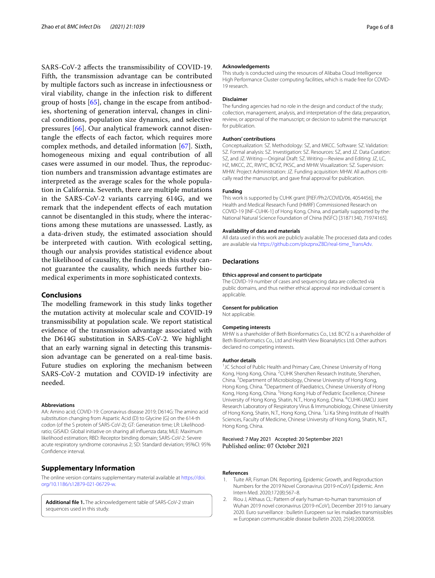SARS-CoV-2 afects the transmissibility of COVID-19. Fifth, the transmission advantage can be contributed by multiple factors such as increase in infectiousness or viral viability, change in the infection risk to diferent group of hosts [\[65](#page-7-16)], change in the escape from antibodies, shortening of generation interval, changes in clinical conditions, population size dynamics, and selective pressures [\[66](#page-7-17)]. Our analytical framework cannot disentangle the efects of each factor, which requires more complex methods, and detailed information [\[67](#page-7-18)]. Sixth, homogeneous mixing and equal contribution of all cases were assumed in our model. Thus, the reproduction numbers and transmission advantage estimates are interpreted as the average scales for the whole population in California. Seventh, there are multiple mutations in the SARS-CoV-2 variants carrying 614G, and we remark that the independent efects of each mutation cannot be disentangled in this study, where the interactions among these mutations are unassessed. Lastly, as a data-driven study, the estimated association should be interpreted with caution. With ecological setting, though our analysis provides statistical evidence about the likelihood of causality, the fndings in this study cannot guarantee the causality, which needs further biomedical experiments in more sophisticated contexts.

### **Conclusions**

The modelling framework in this study links together the mutation activity at molecular scale and COVID-19 transmissibility at population scale. We report statistical evidence of the transmission advantage associated with the D614G substitution in SARS-CoV-2. We highlight that an early warning signal in detecting this transmission advantage can be generated on a real-time basis. Future studies on exploring the mechanism between SARS-CoV-2 mutation and COVID-19 infectivity are needed.

#### **Abbreviations**

AA: Amino acid; COVID-19: Coronavirus disease 2019; D614G: The amino acid substitution changing from Aspartic Acid (D) to Glycine (G) on the 614-th codon (of the S protein of SARS-CoV-2); GT: Generation time; LR: Likelihoodratio; GISAID: Global initiative on sharing all infuenza data; MLE: Maximum likelihood estimation; RBD: Receptor binding domain; SARS-CoV-2: Severe acute respiratory syndrome coronavirus 2; SD: Standard deviation; 95%CI: 95% Confdence interval.

# **Supplementary Information**

The online version contains supplementary material available at [https://doi.](https://doi.org/10.1186/s12879-021-06729-w) [org/10.1186/s12879-021-06729-w.](https://doi.org/10.1186/s12879-021-06729-w)

<span id="page-5-2"></span>**Additional fle 1.** The acknowledgement table of SARS-CoV-2 strain sequences used in this study.

#### **Acknowledgements**

This study is conducted using the resources of Alibaba Cloud Intelligence High Performance Cluster computing facilities, which is made free for COVID-19 research.

#### **Disclaimer**

The funding agencies had no role in the design and conduct of the study; collection, management, analysis, and interpretation of the data; preparation, review, or approval of the manuscript; or decision to submit the manuscript for publication.

#### **Authors' contributions**

Conceptualization: SZ. Methodology: SZ, and MKCC. Software: SZ. Validation: SZ. Formal analysis: SZ. Investigation: SZ. Resources: SZ, and JZ. Data Curation: SZ, and JZ. Writing—Original Draft: SZ. Writing—Review and Editing: JZ, LC, HZ, MKCC, ZC, RWYC, BCYZ, PKSC, and MHW. Visualization: SZ. Supervision: MHW. Project Administration: JZ. Funding acquisition: MHW. All authors critically read the manuscript, and gave fnal approval for publication.

#### **Funding**

This work is supported by CUHK grant [PIEF/Ph2/COVID/06, 4054456], the Health and Medical Research Fund (HMRF) Commissioned Research on COVID-19 [INF-CUHK-1] of Hong Kong, China, and partially supported by the National Natural Science Foundation of China (NSFC) [31871340, 71974165].

#### **Availability of data and materials**

All data used in this work are publicly available. The processed data and codes are available via [https://github.com/plxzpnxZBD/real-time\\_TransAdv.](https://github.com/plxzpnxZBD/real-time_TransAdv)

#### **Declarations**

#### **Ethics approval and consent to participate**

The COVID-19 number of cases and sequencing data are collected via public domains, and thus neither ethical approval nor individual consent is applicable.

#### **Consent for publication**

Not applicable.

#### **Competing interests**

MHW is a shareholder of Beth Bioinformatics Co., Ltd. BCYZ is a shareholder of Beth Bioinformatics Co., Ltd and Health View Bioanalytics Ltd. Other authors declared no competing interests.

#### **Author details**

<sup>1</sup>JC School of Public Health and Primary Care, Chinese University of Hong Kong, Hong Kong, China. <sup>2</sup>CUHK Shenzhen Research Institute, Shenzhen, China. <sup>3</sup> Department of Microbiology, Chinese University of Hong Kong, Hong Kong, China. <sup>4</sup> Department of Paediatrics, Chinese University of Hong Kong, Hong Kong, China. <sup>5</sup> Hong Kong Hub of Pediatric Excellence, Chinese University of Hong Kong, Shatin, N.T., Hong Kong, China. <sup>6</sup>CUHK-UMCU Joint Research Laboratory of Respiratory Virus & Immunobiology, Chinese University of Hong Kong, Shatin, N.T., Hong Kong, China. <sup>7</sup>Li Ka Shing Institute of Health Sciences, Faculty of Medicine, Chinese University of Hong Kong, Shatin, N.T., Hong Kong, China.

Received: 7 May 2021 Accepted: 20 September 2021

#### **References**

- <span id="page-5-0"></span>1. Tuite AR, Fisman DN. Reporting, Epidemic Growth, and Reproduction Numbers for the 2019 Novel Coronavirus (2019-nCoV) Epidemic. Ann Intern Med. 2020;172(8):567–8.
- <span id="page-5-1"></span>2. Riou J, Althaus CL: Pattern of early human-to-human transmission of Wuhan 2019 novel coronavirus (2019-nCoV), December 2019 to January 2020. Euro surveillance : bulletin Europeen sur les maladies transmissibles = European communicable disease bulletin 2020, 25(4):2000058.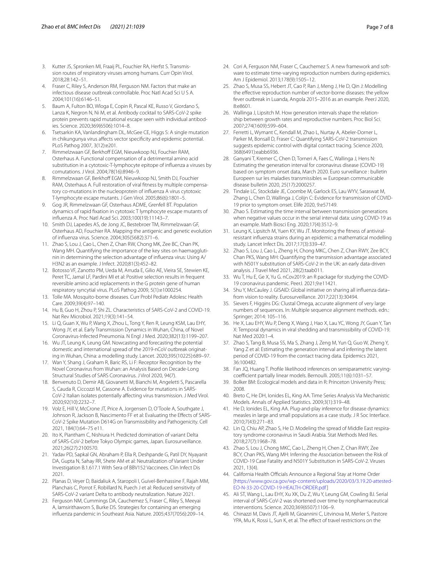- <span id="page-6-0"></span>3. Kutter JS, Spronken MI, Fraaij PL, Fouchier RA, Herfst S. Transmission routes of respiratory viruses among humans. Curr Opin Virol. 2018;28:142–51.
- <span id="page-6-1"></span>4. Fraser C, Riley S, Anderson RM, Ferguson NM. Factors that make an infectious disease outbreak controllable. Proc Natl Acad Sci U S A. 2004;101(16):6146–51.
- <span id="page-6-2"></span>5. Baum A, Fulton BO, Wloga E, Copin R, Pascal KE, Russo V, Giordano S, Lanza K, Negron N, Ni M, et al. Antibody cocktail to SARS-CoV-2 spike protein prevents rapid mutational escape seen with individual antibodies. Science. 2020;369(6506):1014–8.
- <span id="page-6-3"></span>6. Tsetsarkin KA, Vanlandingham DL, McGee CE, Higgs S: A single mutation in chikungunya virus affects vector specificity and epidemic potential. PLoS Pathog 2007, 3(12):e201.
- <span id="page-6-4"></span>7. Rimmelzwaan GF, Berkhoff EGM, Nieuwkoop NJ, Fouchier RAM, Osterhaus A. Functional compensation of a detrimental amino acid substitution in a cytotoxic-T-lymphocyte epitope of infuenza a viruses by comutations. J Virol. 2004;78(16):8946–9.
- <span id="page-6-5"></span>8. Rimmelzwaan GF, Berkhoff EGM, Nieuwkoop NJ, Smith DJ, Fouchier RAM, Osterhaus A. Full restoration of viral ftness by multiple compensatory co-mutations in the nucleoprotein of infuenza A virus cytotoxic T-lymphocyte escape mutants. J Gen Virol. 2005;86(6):1801–5.
- <span id="page-6-6"></span>9. Gog JR, Rimmelzwaan GF, Osterhaus ADME, Grenfell BT. Population dynamics of rapid fxation in cytotoxic T lymphocyte escape mutants of infuenza A. Proc Natl Acad Sci. 2003;100(19):11143–7.
- <span id="page-6-7"></span>10. Smith DJ, Lapedes AS, de Jong JC, Bestebroer TM, Rimmelzwaan GF, Osterhaus AD, Fouchier RA. Mapping the antigenic and genetic evolution of infuenza virus. Science. 2004;305(5682):371–6.
- <span id="page-6-8"></span>11. Zhao S, Lou J, Cao L, Chen Z, Chan RW, Chong MK, Zee BC, Chan PK, Wang MH. Quantifying the importance of the key sites on haemagglutinin in determining the selection advantage of infuenza virus: Using A/ H3N2 as an example. J Infect. 2020;81(3):452–82.
- <span id="page-6-9"></span>12. Botosso VF, Zanotto PM, Ueda M, Arruda E, Gilio AE, Vieira SE, Stewien KE, Peret TC, Jamal LF, Pardini MI et al: Positive selection results in frequent reversible amino acid replacements in the G protein gene of human respiratory syncytial virus. PLoS Pathog 2009, 5(1):e1000254.
- <span id="page-6-10"></span>13. Tolle MA. Mosquito-borne diseases. Curr Probl Pediatr Adolesc Health Care. 2009;39(4):97–140.
- <span id="page-6-11"></span>14. Hu B, Guo H, Zhou P, Shi ZL. Characteristics of SARS-CoV-2 and COVID-19. Nat Rev Microbiol. 2021;19(3):141–54.
- <span id="page-6-12"></span>15. Li Q, Guan X, Wu P, Wang X, Zhou L, Tong Y, Ren R, Leung KSM, Lau EHY, Wong JY, et al. Early Transmission Dynamics in Wuhan, China, of Novel Coronavirus-Infected Pneumonia. N Engl J Med. 2020;382(13):1199–207.
- <span id="page-6-13"></span>16. Wu JT, Leung K, Leung GM. Nowcasting and forecasting the potential domestic and international spread of the 2019-nCoV outbreak originating in Wuhan, China: a modelling study. Lancet. 2020;395(10225):689–97.
- <span id="page-6-14"></span>17. Wan Y, Shang J, Graham R, Baric RS, Li F: Receptor Recognition by the Novel Coronavirus from Wuhan: an Analysis Based on Decade-Long Structural Studies of SARS Coronavirus. J Virol 2020, 94(7).
- <span id="page-6-15"></span>18. Benvenuto D, Demir AB, Giovanetti M, Bianchi M, Angeletti S, Pascarella S, Cauda R, Ciccozzi M, Cassone A. Evidence for mutations in SARS-CoV-2 Italian isolates potentially afecting virus transmission. J Med Virol. 2020;92(10):2232–7.
- <span id="page-6-16"></span>19. Volz E, Hill V, McCrone JT, Price A, Jorgensen D, O'Toole A, Southgate J, Johnson R, Jackson B, Nascimento FF et al: Evaluating the Effects of SARS-CoV-2 Spike Mutation D614G on Transmissibility and Pathogenicity. Cell 2021, 184(1):64–75 e11.
- <span id="page-6-17"></span>20. Ito K, Piantham C, Nishiura H. Predicted domination of variant Delta of SARS-CoV-2 before Tokyo Olympic games, Japan. Eurosurveillance. 2021;26(27):2100570.
- <span id="page-6-18"></span>21. Yadav PD, Sapkal GN, Abraham P, Ella R, Deshpande G, Patil DY, Nyayanit DA, Gupta N, Sahay RR, Shete AM et al: Neutralization of Variant Under Investigation B.1.617.1 With Sera of BBV152 Vaccinees. Clin Infect Dis 2021.
- <span id="page-6-19"></span>22. Planas D, Veyer D, Baidaliuk A, Staropoli I, Guivel-Benhassine F, Rajah MM, Planchais C, Porrot F, Robillard N, Puech J et al: Reduced sensitivity of SARS-CoV-2 variant Delta to antibody neutralization. Nature 2021.
- <span id="page-6-20"></span>23. Ferguson NM, Cummings DA, Cauchemez S, Fraser C, Riley S, Meeyai A, Iamsirithaworn S, Burke DS. Strategies for containing an emerging infuenza pandemic in Southeast Asia. Nature. 2005;437(7056):209–14.
- <span id="page-6-21"></span>24. Cori A, Ferguson NM, Fraser C, Cauchemez S. A new framework and software to estimate time-varying reproduction numbers during epidemics. Am J Epidemiol. 2013;178(9):1505–12.
- <span id="page-6-22"></span>25. Zhao S, Musa SS, Hebert JT, Cao P, Ran J, Meng J, He D, Qin J: Modelling the efective reproduction number of vector-borne diseases: the yellow fever outbreak in Luanda, Angola 2015–2016 as an example. PeerJ 2020, 8:e8601.
- <span id="page-6-23"></span>26. Wallinga J, Lipsitch M. How generation intervals shape the relationship between growth rates and reproductive numbers. Proc Biol Sci. 2007;274(1609):599–604.
- <span id="page-6-24"></span>27. Ferretti L, Wymant C, Kendall M, Zhao L, Nurtay A, Abeler-Dorner L, Parker M, Bonsall D, Fraser C: Quantifying SARS-CoV-2 transmission suggests epidemic control with digital contact tracing. Science 2020, 368(6491):eabb6936.
- 28. Ganyani T, Kremer C, Chen D, Torneri A, Faes C, Wallinga J, Hens N: Estimating the generation interval for coronavirus disease (COVID-19) based on symptom onset data, March 2020. Euro surveillance : bulletin Europeen sur les maladies transmissibles = European communicable disease bulletin 2020, 25(17):2000257.
- <span id="page-6-31"></span>29. Tindale LC, Stockdale JE, Coombe M, Garlock ES, Lau WYV, Saraswat M, Zhang L, Chen D, Wallinga J, Colijn C: Evidence for transmission of COVID-19 prior to symptom onset. Elife 2020, 9:e57149.
- <span id="page-6-25"></span>30. Zhao S. Estimating the time interval between transmission generations when negative values occur in the serial interval data: using COVID-19 as an example. Math Biosci Eng. 2020;17(4):3512–9.
- <span id="page-6-26"></span>31. Leung K, Lipsitch M, Yuen KY, Wu JT. Monitoring the ftness of antiviralresistant infuenza strains during an epidemic: a mathematical modelling study. Lancet Infect Dis. 2017;17(3):339–47.
- <span id="page-6-27"></span>32. Zhao S, Lou J, Cao L, Zheng H, Chong MKC, Chen Z, Chan RWY, Zee BCY, Chan PKS, Wang MH: Quantifying the transmission advantage associated with N501Y substitution of SARS-CoV-2 in the UK: an early data-driven analysis. J Travel Med 2021, 28(2):taab011.
- <span id="page-6-28"></span>33. Wu T, Hu E, Ge X, Yu G. nCov2019: an R package for studying the COVID-19 coronavirus pandemic. PeerJ. 2021;9:e11421.
- <span id="page-6-29"></span>34. Shu Y, McCauley J. GISAID: Global initiative on sharing all infuenza data– from vision to reality. Eurosurveillance. 2017;22(13):30494.
- <span id="page-6-30"></span>35. Sievers F, Higgins DG: Clustal Omega, accurate alignment of very large numbers of sequences. In: Multiple sequence alignment methods. edn.: Springer; 2014: 105–116.
- <span id="page-6-32"></span>36. He X, Lau EHY, Wu P, Deng X, Wang J, Hao X, Lau YC, Wong JY, Guan Y, Tan X: Temporal dynamics in viral shedding and transmissibility of COVID-19. Nat Med 2020:1–4.
- <span id="page-6-33"></span>37. Zhao S, Tang B, Musa SS, Ma S, Zhang J, Zeng M, Yun Q, Guo W, Zheng Y, Yang Z et al: Estimating the generation interval and inferring the latent period of COVID-19 from the contact tracing data. Epidemics 2021, 36:100482.
- <span id="page-6-34"></span>38. Fan JQ, Huang T. Profle likelihood inferences on semiparametric varyingcoefficient partially linear models. Bernoulli. 2005;11(6):1031-57.
- <span id="page-6-35"></span>39. Bolker BM: Ecological models and data in R: Princeton University Press; 2008.
- <span id="page-6-36"></span>40. Breto C, He DH, Ionides EL, King AA. Time Series Analysis Via Mechanistic Models. Annals of Applied Statistics. 2009;3(1):319–48.
- 41. He D, Ionides EL, King AA. Plug-and-play inference for disease dynamics: measles in large and small populations as a case study. J R Soc Interface. 2010;7(43):271–83.
- 42. Lin Q, Chiu AP, Zhao S, He D. Modeling the spread of Middle East respiratory syndrome coronavirus in Saudi Arabia. Stat Methods Med Res. 2018;27(7):1968–78.
- <span id="page-6-37"></span>43. Zhao S, Lou J, Chong MKC, Cao L, Zheng H, Chen Z, Chan RWY, Zee BCY, Chan PKS, Wang MH: Inferring the Association between the Risk of COVID-19 Case Fatality and N501Y Substitution in SARS-CoV-2. Viruses 2021, 13(4).
- <span id="page-6-38"></span>44. California Health Officials Announce a Regional Stay at Home Order [[https://www.gov.ca.gov/wp-content/uploads/2020/03/3.19.20-attested-](https://www.gov.ca.gov/wp-content/uploads/2020/03/3.19.20-attested-EO-N-33-20-COVID-19-HEALTH-ORDER.pdf)[EO-N-33-20-COVID-19-HEALTH-ORDER.pdf\]](https://www.gov.ca.gov/wp-content/uploads/2020/03/3.19.20-attested-EO-N-33-20-COVID-19-HEALTH-ORDER.pdf)
- <span id="page-6-39"></span>45. Ali ST, Wang L, Lau EHY, Xu XK, Du Z, Wu Y, Leung GM, Cowling BJ. Serial interval of SARS-CoV-2 was shortened over time by nonpharmaceutical interventions. Science. 2020;369(6507):1106–9.
- 46. Chinazzi M, Davis JT, Ajelli M, Gioannini C, Litvinova M, Merler S, Pastore YPA, Mu K, Rossi L, Sun K, et al. The effect of travel restrictions on the